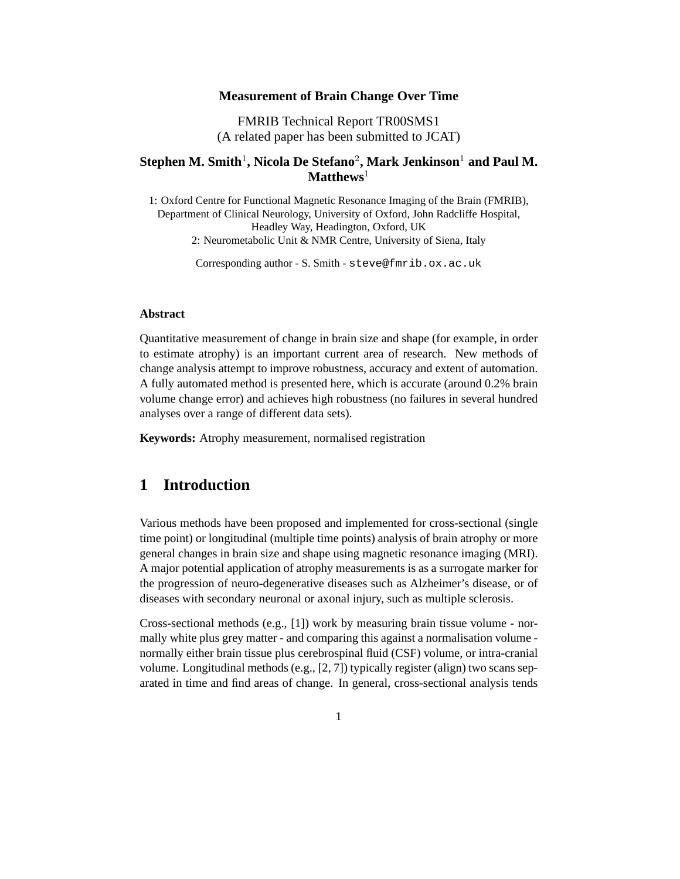#### **Measurement of Brain Change Over Time**

FMRIB Technical Report TR00SMS1 (A related paper has been submitted to JCAT)

# ${\bf Step}$ hen M. Smith $^1$ , Nicola De Stefano $^2$ , Mark Jenkinson $^1$  and Paul M. **Matthews**<sup>1</sup>

1: Oxford Centre for Functional Magnetic Resonance Imaging of the Brain (FMRIB), Department of Clinical Neurology, University of Oxford, John Radcliffe Hospital, Headley Way, Headington, Oxford, UK 2: Neurometabolic Unit & NMR Centre, University of Siena, Italy

Corresponding author - S. Smith - steve@fmrib.ox.ac.uk

#### **Abstract**

Quantitative measurement of change in brain size and shape (for example, in order to estimate atrophy) is an important current area of research. New methods of change analysis attempt to improve robustness, accuracy and extent of automation. A fully automated method is presented here, which is accurate (around 0.2% brain volume change error) and achieves high robustness (no failures in several hundred analyses over a range of different data sets).

**Keywords:** Atrophy measurement, normalised registration

# **1 Introduction**

Various methods have been proposed and implemented for cross-sectional (single time point) or longitudinal (multiple time points) analysis of brain atrophy or more general changes in brain size and shape using magnetic resonance imaging (MRI). A major potential application of atrophy measurements is as a surrogate marker for the progression of neuro-degenerative diseases such as Alzheimer's disease, or of diseases with secondary neuronal or axonal injury, such as multiple sclerosis.

Cross-sectional methods (e.g., [1]) work by measuring brain tissue volume - normally white plus grey matter - and comparing this against a normalisation volume normally either brain tissue plus cerebrospinal fluid (CSF) volume, or intra-cranial volume. Longitudinal methods (e.g., [2, 7]) typically register (align) two scans separated in time and find areas of change. In general, cross-sectional analysis tends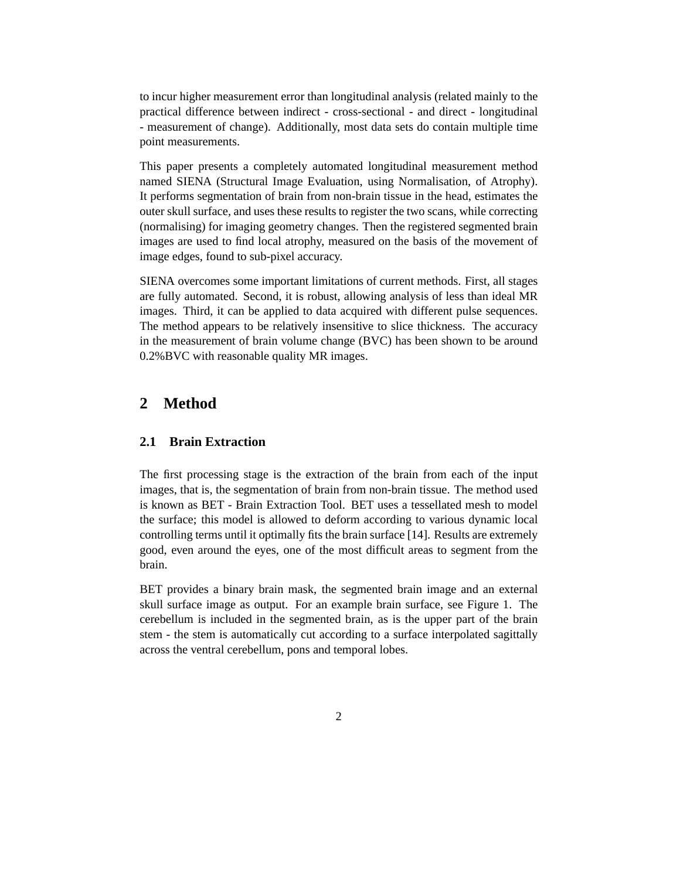to incur higher measurement error than longitudinal analysis (related mainly to the practical difference between indirect - cross-sectional - and direct - longitudinal - measurement of change). Additionally, most data sets do contain multiple time point measurements.

This paper presents a completely automated longitudinal measurement method named SIENA (Structural Image Evaluation, using Normalisation, of Atrophy). It performs segmentation of brain from non-brain tissue in the head, estimates the outer skull surface, and uses these results to register the two scans, while correcting (normalising) for imaging geometry changes. Then the registered segmented brain images are used to find local atrophy, measured on the basis of the movement of image edges, found to sub-pixel accuracy.

SIENA overcomes some important limitations of current methods. First, all stages are fully automated. Second, it is robust, allowing analysis of less than ideal MR images. Third, it can be applied to data acquired with different pulse sequences. The method appears to be relatively insensitive to slice thickness. The accuracy in the measurement of brain volume change (BVC) has been shown to be around 0.2%BVC with reasonable quality MR images.

# **2 Method**

## **2.1 Brain Extraction**

The first processing stage is the extraction of the brain from each of the input images, that is, the segmentation of brain from non-brain tissue. The method used is known as BET - Brain Extraction Tool. BET uses a tessellated mesh to model the surface; this model is allowed to deform according to various dynamic local controlling terms until it optimally fits the brain surface [14]. Results are extremely good, even around the eyes, one of the most difficult areas to segment from the brain.

BET provides a binary brain mask, the segmented brain image and an external skull surface image as output. For an example brain surface, see Figure 1. The cerebellum is included in the segmented brain, as is the upper part of the brain stem - the stem is automatically cut according to a surface interpolated sagittally across the ventral cerebellum, pons and temporal lobes.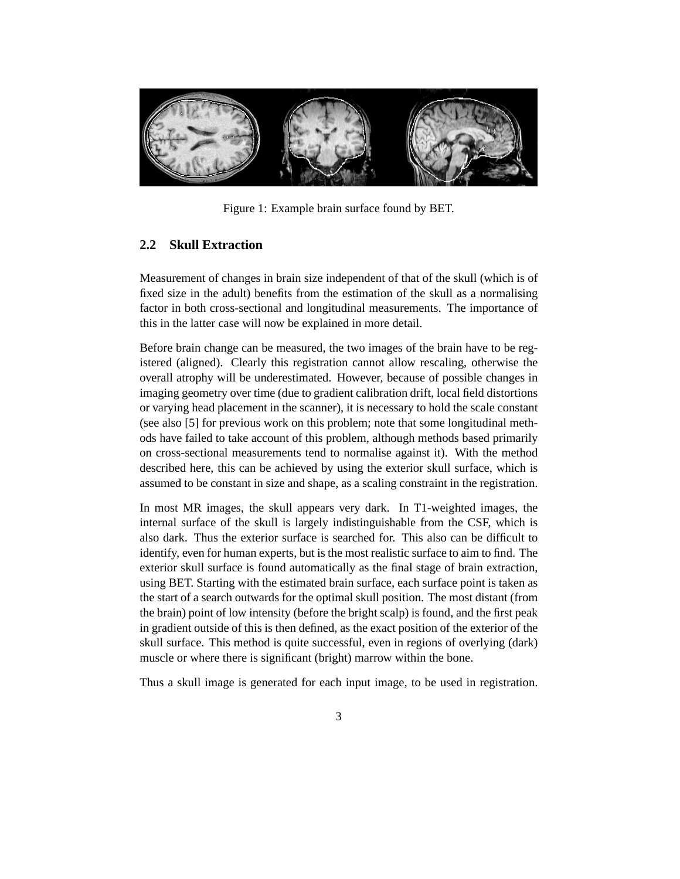

Figure 1: Example brain surface found by BET.

## **2.2 Skull Extraction**

Measurement of changes in brain size independent of that of the skull (which is of fixed size in the adult) benefits from the estimation of the skull as a normalising factor in both cross-sectional and longitudinal measurements. The importance of this in the latter case will now be explained in more detail.

Before brain change can be measured, the two images of the brain have to be registered (aligned). Clearly this registration cannot allow rescaling, otherwise the overall atrophy will be underestimated. However, because of possible changes in imaging geometry over time (due to gradient calibration drift, local field distortions or varying head placement in the scanner), it is necessary to hold the scale constant (see also [5] for previous work on this problem; note that some longitudinal methods have failed to take account of this problem, although methods based primarily on cross-sectional measurements tend to normalise against it). With the method described here, this can be achieved by using the exterior skull surface, which is assumed to be constant in size and shape, as a scaling constraint in the registration.

In most MR images, the skull appears very dark. In T1-weighted images, the internal surface of the skull is largely indistinguishable from the CSF, which is also dark. Thus the exterior surface is searched for. This also can be difficult to identify, even for human experts, but is the most realistic surface to aim to find. The exterior skull surface is found automatically as the final stage of brain extraction, using BET. Starting with the estimated brain surface, each surface point is taken as the start of a search outwards for the optimal skull position. The most distant (from the brain) point of low intensity (before the bright scalp) is found, and the first peak in gradient outside of this is then defined, as the exact position of the exterior of the skull surface. This method is quite successful, even in regions of overlying (dark) muscle or where there is significant (bright) marrow within the bone.

Thus a skull image is generated for each input image, to be used in registration.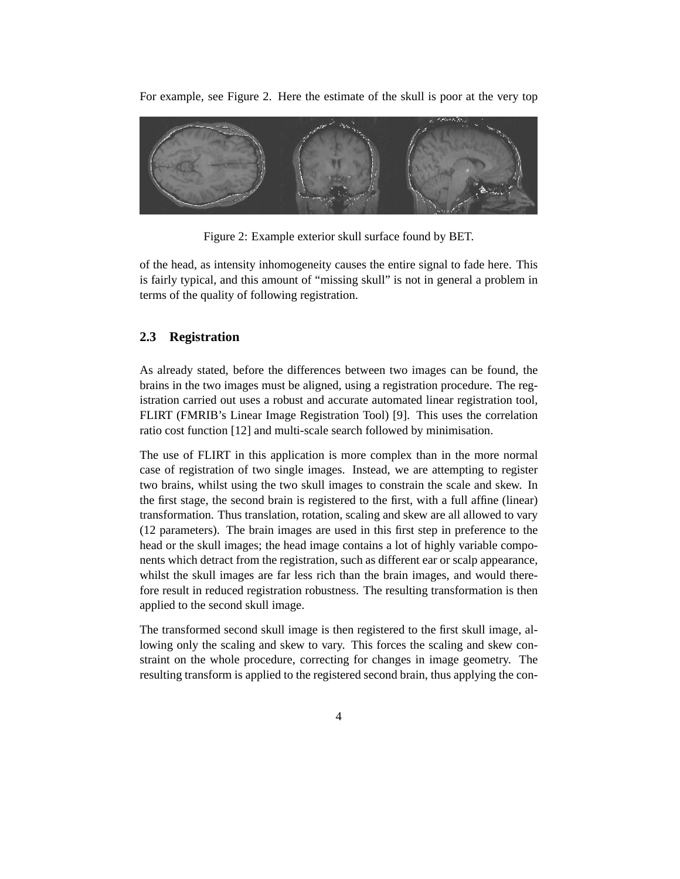For example, see Figure 2. Here the estimate of the skull is poor at the very top



Figure 2: Example exterior skull surface found by BET.

of the head, as intensity inhomogeneity causes the entire signal to fade here. This is fairly typical, and this amount of "missing skull" is not in general a problem in terms of the quality of following registration.

#### **2.3 Registration**

As already stated, before the differences between two images can be found, the brains in the two images must be aligned, using a registration procedure. The registration carried out uses a robust and accurate automated linear registration tool, FLIRT (FMRIB's Linear Image Registration Tool) [9]. This uses the correlation ratio cost function [12] and multi-scale search followed by minimisation.

The use of FLIRT in this application is more complex than in the more normal case of registration of two single images. Instead, we are attempting to register two brains, whilst using the two skull images to constrain the scale and skew. In the first stage, the second brain is registered to the first, with a full affine (linear) transformation. Thus translation, rotation, scaling and skew are all allowed to vary (12 parameters). The brain images are used in this first step in preference to the head or the skull images; the head image contains a lot of highly variable components which detract from the registration, such as different ear or scalp appearance, whilst the skull images are far less rich than the brain images, and would therefore result in reduced registration robustness. The resulting transformation is then applied to the second skull image.

The transformed second skull image is then registered to the first skull image, allowing only the scaling and skew to vary. This forces the scaling and skew constraint on the whole procedure, correcting for changes in image geometry. The resulting transform is applied to the registered second brain, thus applying the con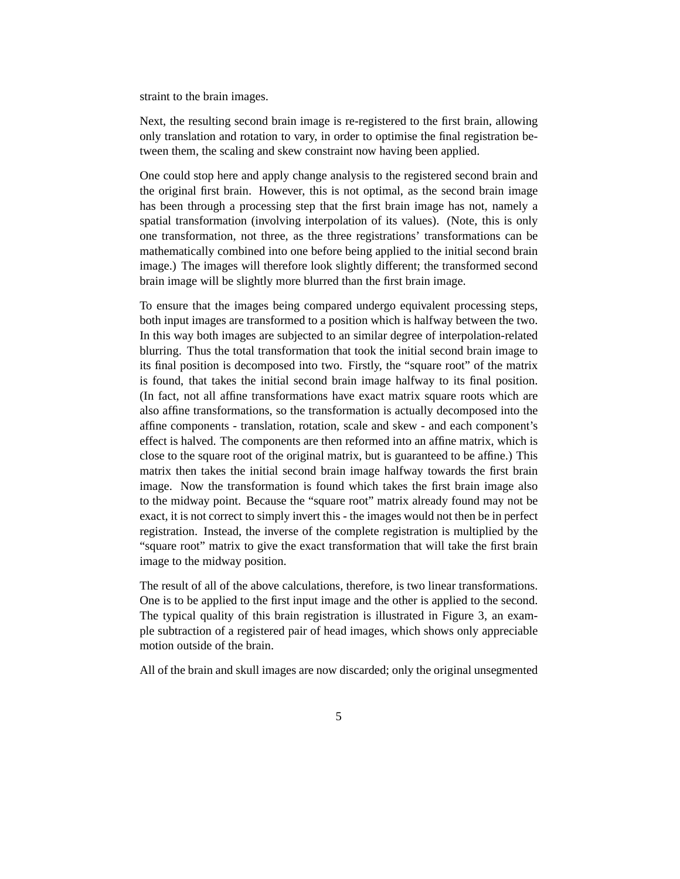straint to the brain images.

Next, the resulting second brain image is re-registered to the first brain, allowing only translation and rotation to vary, in order to optimise the final registration between them, the scaling and skew constraint now having been applied.

One could stop here and apply change analysis to the registered second brain and the original first brain. However, this is not optimal, as the second brain image has been through a processing step that the first brain image has not, namely a spatial transformation (involving interpolation of its values). (Note, this is only one transformation, not three, as the three registrations' transformations can be mathematically combined into one before being applied to the initial second brain image.) The images will therefore look slightly different; the transformed second brain image will be slightly more blurred than the first brain image.

To ensure that the images being compared undergo equivalent processing steps, both input images are transformed to a position which is halfway between the two. In this way both images are subjected to an similar degree of interpolation-related blurring. Thus the total transformation that took the initial second brain image to its final position is decomposed into two. Firstly, the "square root" of the matrix is found, that takes the initial second brain image halfway to its final position. (In fact, not all affine transformations have exact matrix square roots which are also affine transformations, so the transformation is actually decomposed into the affine components - translation, rotation, scale and skew - and each component's effect is halved. The components are then reformed into an affine matrix, which is close to the square root of the original matrix, but is guaranteed to be affine.) This matrix then takes the initial second brain image halfway towards the first brain image. Now the transformation is found which takes the first brain image also to the midway point. Because the "square root" matrix already found may not be exact, it is not correct to simply invert this - the images would not then be in perfect registration. Instead, the inverse of the complete registration is multiplied by the "square root" matrix to give the exact transformation that will take the first brain image to the midway position.

The result of all of the above calculations, therefore, is two linear transformations. One is to be applied to the first input image and the other is applied to the second. The typical quality of this brain registration is illustrated in Figure 3, an example subtraction of a registered pair of head images, which shows only appreciable motion outside of the brain.

All of the brain and skull images are now discarded; only the original unsegmented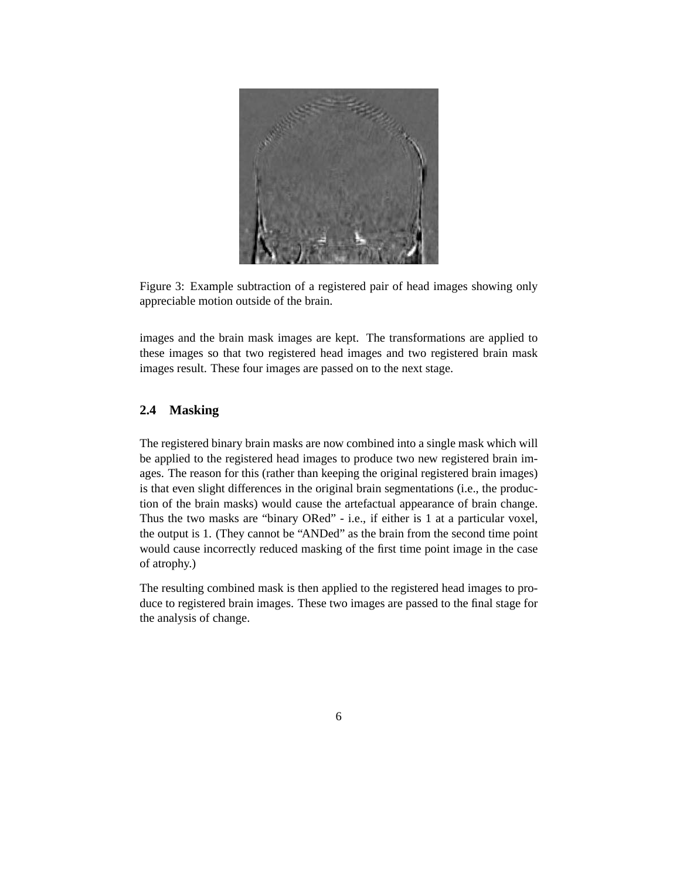

Figure 3: Example subtraction of a registered pair of head images showing only appreciable motion outside of the brain.

images and the brain mask images are kept. The transformations are applied to these images so that two registered head images and two registered brain mask images result. These four images are passed on to the next stage.

### **2.4 Masking**

The registered binary brain masks are now combined into a single mask which will be applied to the registered head images to produce two new registered brain images. The reason for this (rather than keeping the original registered brain images) is that even slight differences in the original brain segmentations (i.e., the production of the brain masks) would cause the artefactual appearance of brain change. Thus the two masks are "binary ORed" - i.e., if either is 1 at a particular voxel, the output is 1. (They cannot be "ANDed" as the brain from the second time point would cause incorrectly reduced masking of the first time point image in the case of atrophy.)

The resulting combined mask is then applied to the registered head images to produce to registered brain images. These two images are passed to the final stage for the analysis of change.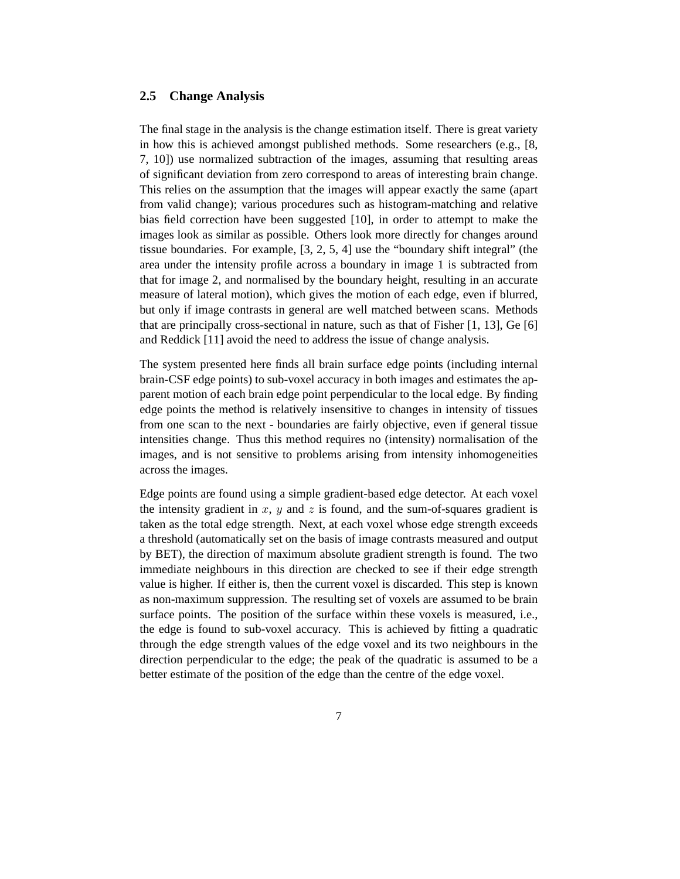#### **2.5 Change Analysis**

The final stage in the analysis is the change estimation itself. There is great variety in how this is achieved amongst published methods. Some researchers (e.g., [8, 7, 10]) use normalized subtraction of the images, assuming that resulting areas of significant deviation from zero correspond to areas of interesting brain change. This relies on the assumption that the images will appear exactly the same (apart from valid change); various procedures such as histogram-matching and relative bias field correction have been suggested [10], in order to attempt to make the images look as similar as possible. Others look more directly for changes around tissue boundaries. For example, [3, 2, 5, 4] use the "boundary shift integral" (the area under the intensity profile across a boundary in image 1 is subtracted from that for image 2, and normalised by the boundary height, resulting in an accurate measure of lateral motion), which gives the motion of each edge, even if blurred, but only if image contrasts in general are well matched between scans. Methods that are principally cross-sectional in nature, such as that of Fisher [1, 13], Ge [6] and Reddick [11] avoid the need to address the issue of change analysis.

The system presented here finds all brain surface edge points (including internal brain-CSF edge points) to sub-voxel accuracy in both images and estimates the apparent motion of each brain edge point perpendicular to the local edge. By finding edge points the method is relatively insensitive to changes in intensity of tissues from one scan to the next - boundaries are fairly objective, even if general tissue intensities change. Thus this method requires no (intensity) normalisation of the images, and is not sensitive to problems arising from intensity inhomogeneities across the images.

Edge points are found using a simple gradient-based edge detector. At each voxel the intensity gradient in x, y and z is found, and the sum-of-squares gradient is taken as the total edge strength. Next, at each voxel whose edge strength exceeds a threshold (automatically set on the basis of image contrasts measured and output by BET), the direction of maximum absolute gradient strength is found. The two immediate neighbours in this direction are checked to see if their edge strength value is higher. If either is, then the current voxel is discarded. This step is known as non-maximum suppression. The resulting set of voxels are assumed to be brain surface points. The position of the surface within these voxels is measured, i.e., the edge is found to sub-voxel accuracy. This is achieved by fitting a quadratic through the edge strength values of the edge voxel and its two neighbours in the direction perpendicular to the edge; the peak of the quadratic is assumed to be a better estimate of the position of the edge than the centre of the edge voxel.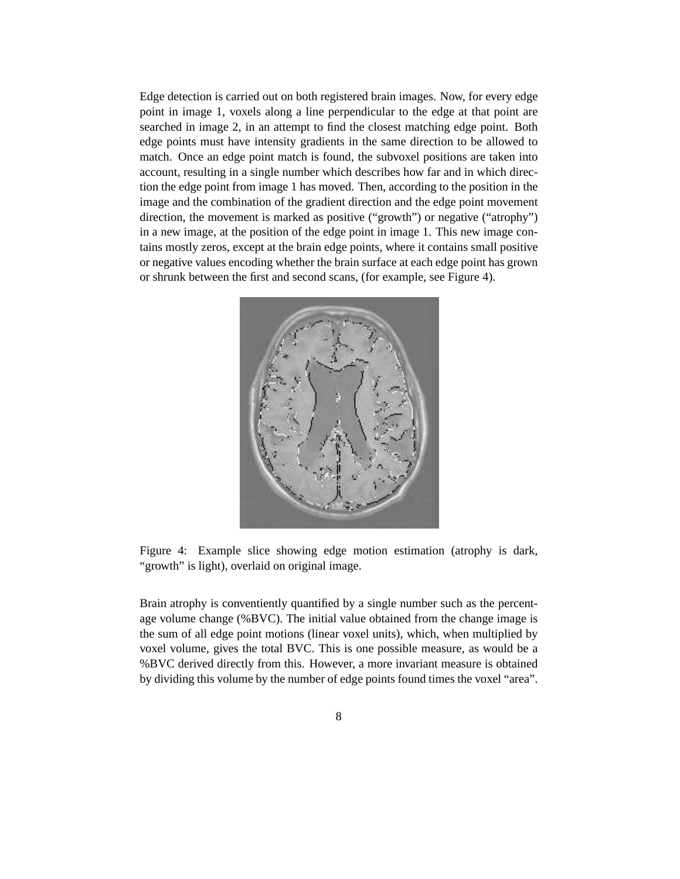Edge detection is carried out on both registered brain images. Now, for every edge point in image 1, voxels along a line perpendicular to the edge at that point are searched in image 2, in an attempt to find the closest matching edge point. Both edge points must have intensity gradients in the same direction to be allowed to match. Once an edge point match is found, the subvoxel positions are taken into account, resulting in a single number which describes how far and in which direction the edge point from image 1 has moved. Then, according to the position in the image and the combination of the gradient direction and the edge point movement direction, the movement is marked as positive ("growth") or negative ("atrophy") in a new image, at the position of the edge point in image 1. This new image contains mostly zeros, except at the brain edge points, where it contains small positive or negative values encoding whether the brain surface at each edge point has grown or shrunk between the first and second scans, (for example, see Figure 4).



Figure 4: Example slice showing edge motion estimation (atrophy is dark, "growth" is light), overlaid on original image.

Brain atrophy is conventiently quantified by a single number such as the percentage volume change (%BVC). The initial value obtained from the change image is the sum of all edge point motions (linear voxel units), which, when multiplied by voxel volume, gives the total BVC. This is one possible measure, as would be a %BVC derived directly from this. However, a more invariant measure is obtained by dividing this volume by the number of edge points found times the voxel "area".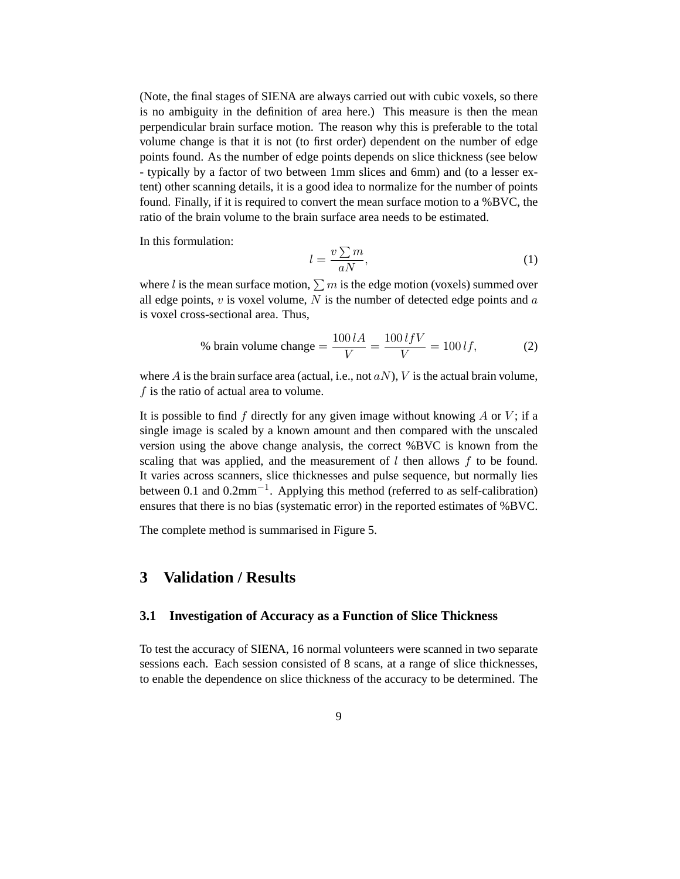(Note, the final stages of SIENA are always carried out with cubic voxels, so there is no ambiguity in the definition of area here.) This measure is then the mean perpendicular brain surface motion. The reason why this is preferable to the total volume change is that it is not (to first order) dependent on the number of edge points found. As the number of edge points depends on slice thickness (see below - typically by a factor of two between 1mm slices and 6mm) and (to a lesser extent) other scanning details, it is a good idea to normalize for the number of points found. Finally, if it is required to convert the mean surface motion to a %BVC, the ratio of the brain volume to the brain surface area needs to be estimated.

In this formulation:

$$
l = \frac{v \sum m}{aN},\tag{1}
$$

where *l* is the mean surface motion,  $\sum m$  is the edge motion (voxels) summed over all edge points,  $v$  is voxel volume,  $N$  is the number of detected edge points and  $a$ is voxel cross-sectional area. Thus,

% brain volume change = 
$$
\frac{100 lA}{V} = \frac{100 lfV}{V} = 100 lf,
$$
 (2)

where A is the brain surface area (actual, i.e., not  $aN$ ), V is the actual brain volume,  $f$  is the ratio of actual area to volume.

It is possible to find  $f$  directly for any given image without knowing  $A$  or  $V$ ; if a single image is scaled by a known amount and then compared with the unscaled version using the above change analysis, the correct %BVC is known from the scaling that was applied, and the measurement of  $l$  then allows  $f$  to be found. It varies across scanners, slice thicknesses and pulse sequence, but normally lies between 0.1 and 0.2mm−<sup>1</sup> . Applying this method (referred to as self-calibration) ensures that there is no bias (systematic error) in the reported estimates of %BVC.

The complete method is summarised in Figure 5.

# **3 Validation / Results**

#### **3.1 Investigation of Accuracy as a Function of Slice Thickness**

To test the accuracy of SIENA, 16 normal volunteers were scanned in two separate sessions each. Each session consisted of 8 scans, at a range of slice thicknesses, to enable the dependence on slice thickness of the accuracy to be determined. The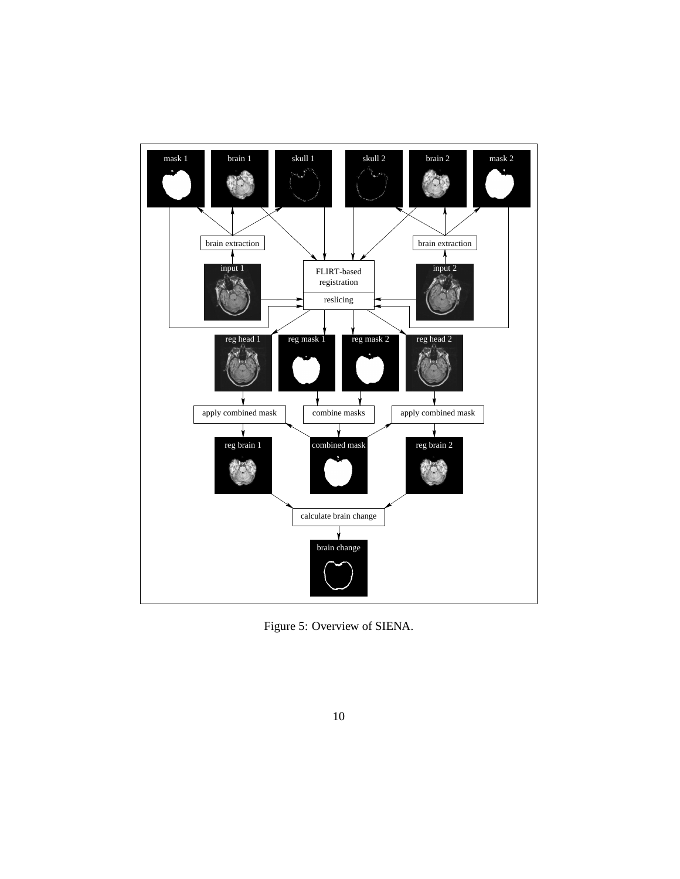

Figure 5: Overview of SIENA.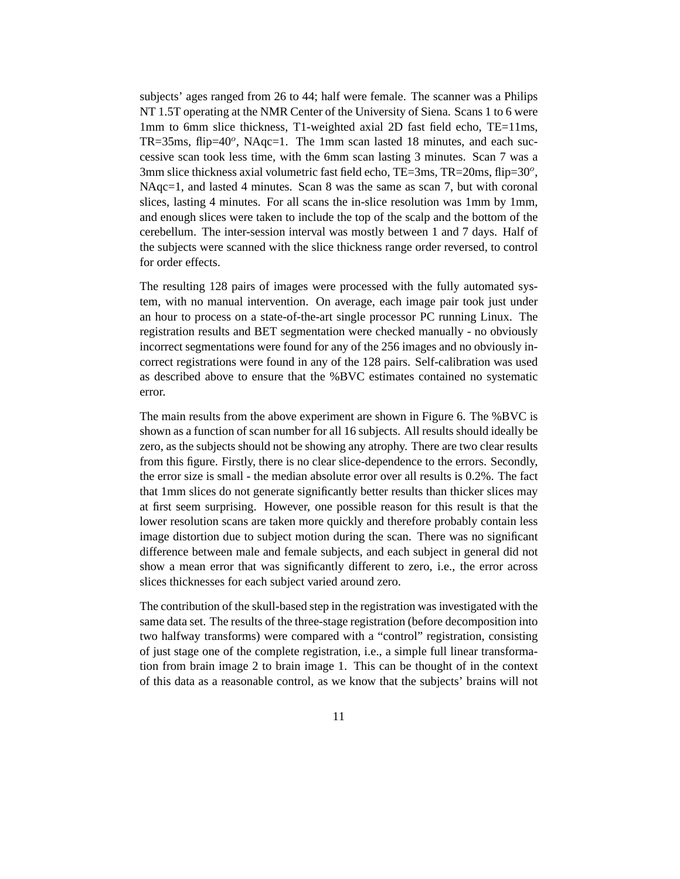subjects' ages ranged from 26 to 44; half were female. The scanner was a Philips NT 1.5T operating at the NMR Center of the University of Siena. Scans 1 to 6 were 1mm to 6mm slice thickness, T1-weighted axial 2D fast field echo, TE=11ms,  $TR = 35$ ms, flip= $40^{\circ}$ , NAqc=1. The 1mm scan lasted 18 minutes, and each successive scan took less time, with the 6mm scan lasting 3 minutes. Scan 7 was a 3mm slice thickness axial volumetric fast field echo, TE=3ms, TR=20ms, flip=30 $^{\circ}$ , NAqc=1, and lasted 4 minutes. Scan 8 was the same as scan 7, but with coronal slices, lasting 4 minutes. For all scans the in-slice resolution was 1mm by 1mm, and enough slices were taken to include the top of the scalp and the bottom of the cerebellum. The inter-session interval was mostly between 1 and 7 days. Half of the subjects were scanned with the slice thickness range order reversed, to control for order effects.

The resulting 128 pairs of images were processed with the fully automated system, with no manual intervention. On average, each image pair took just under an hour to process on a state-of-the-art single processor PC running Linux. The registration results and BET segmentation were checked manually - no obviously incorrect segmentations were found for any of the 256 images and no obviously incorrect registrations were found in any of the 128 pairs. Self-calibration was used as described above to ensure that the %BVC estimates contained no systematic error.

The main results from the above experiment are shown in Figure 6. The %BVC is shown as a function of scan number for all 16 subjects. All results should ideally be zero, as the subjects should not be showing any atrophy. There are two clear results from this figure. Firstly, there is no clear slice-dependence to the errors. Secondly, the error size is small - the median absolute error over all results is 0.2%. The fact that 1mm slices do not generate significantly better results than thicker slices may at first seem surprising. However, one possible reason for this result is that the lower resolution scans are taken more quickly and therefore probably contain less image distortion due to subject motion during the scan. There was no significant difference between male and female subjects, and each subject in general did not show a mean error that was significantly different to zero, i.e., the error across slices thicknesses for each subject varied around zero.

The contribution of the skull-based step in the registration was investigated with the same data set. The results of the three-stage registration (before decomposition into two halfway transforms) were compared with a "control" registration, consisting of just stage one of the complete registration, i.e., a simple full linear transformation from brain image 2 to brain image 1. This can be thought of in the context of this data as a reasonable control, as we know that the subjects' brains will not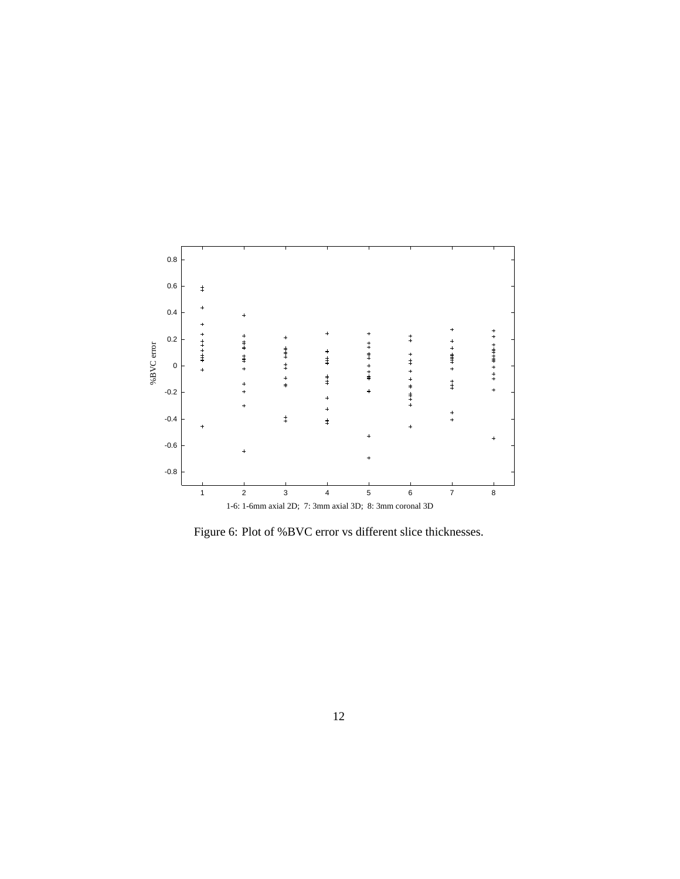

Figure 6: Plot of %BVC error vs different slice thicknesses.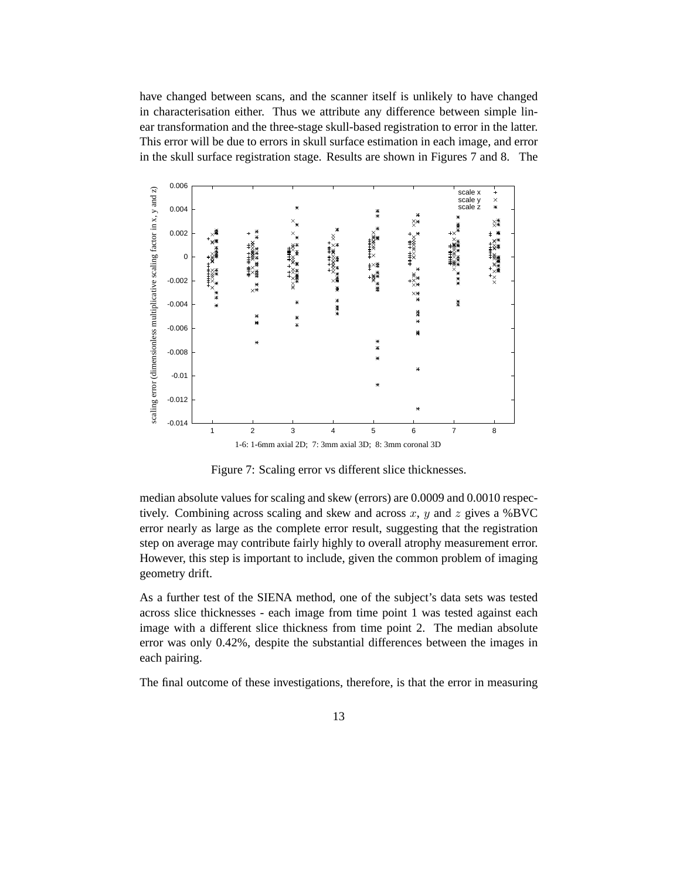have changed between scans, and the scanner itself is unlikely to have changed in characterisation either. Thus we attribute any difference between simple linear transformation and the three-stage skull-based registration to error in the latter. This error will be due to errors in skull surface estimation in each image, and error in the skull surface registration stage. Results are shown in Figures 7 and 8. The



Figure 7: Scaling error vs different slice thicknesses.

median absolute values for scaling and skew (errors) are 0.0009 and 0.0010 respectively. Combining across scaling and skew and across  $x, y$  and  $z$  gives a %BVC error nearly as large as the complete error result, suggesting that the registration step on average may contribute fairly highly to overall atrophy measurement error. However, this step is important to include, given the common problem of imaging geometry drift.

As a further test of the SIENA method, one of the subject's data sets was tested across slice thicknesses - each image from time point 1 was tested against each image with a different slice thickness from time point 2. The median absolute error was only 0.42%, despite the substantial differences between the images in each pairing.

The final outcome of these investigations, therefore, is that the error in measuring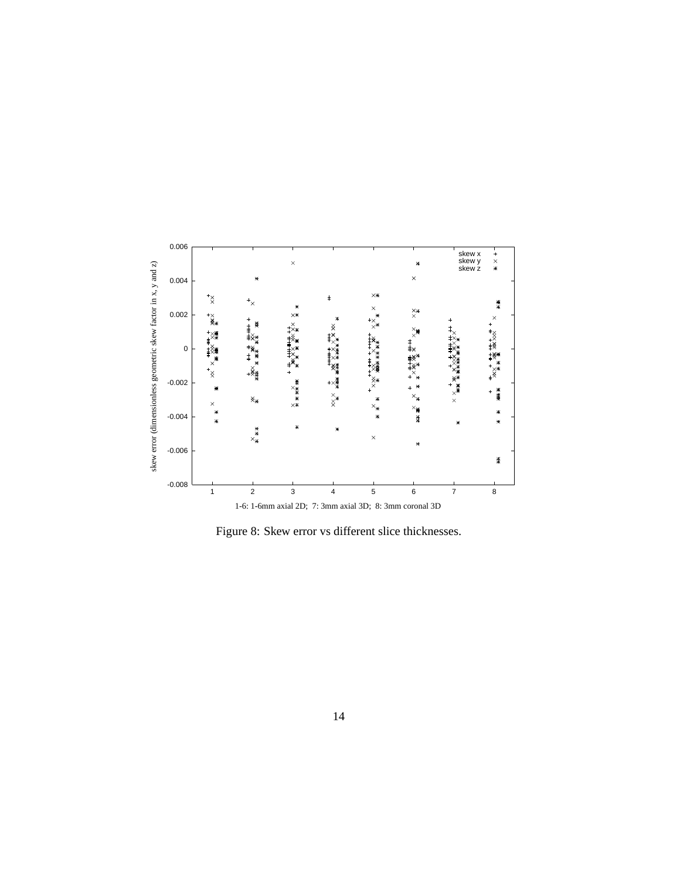

Figure 8: Skew error vs different slice thicknesses.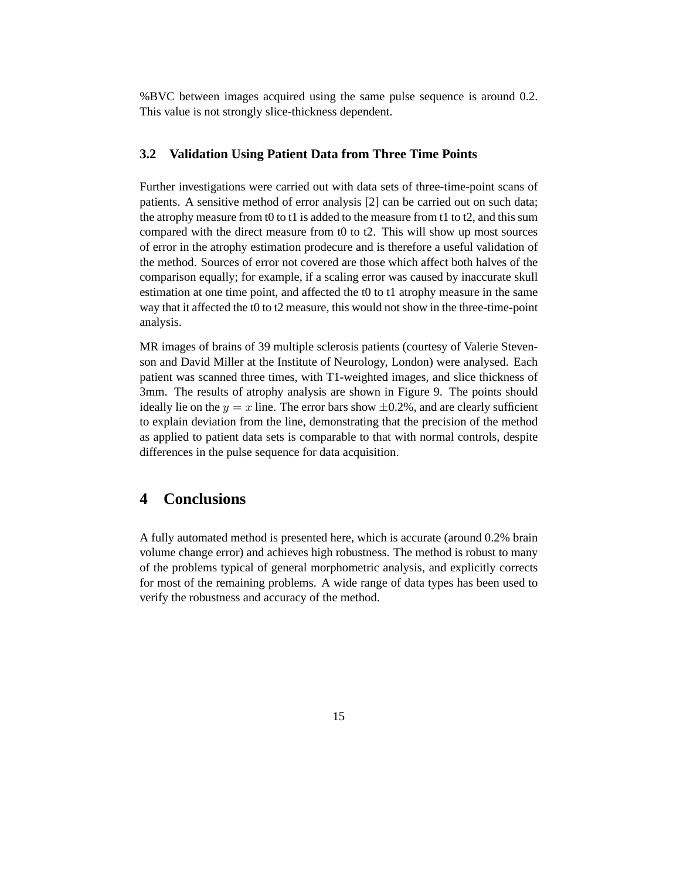%BVC between images acquired using the same pulse sequence is around 0.2. This value is not strongly slice-thickness dependent.

### **3.2 Validation Using Patient Data from Three Time Points**

Further investigations were carried out with data sets of three-time-point scans of patients. A sensitive method of error analysis [2] can be carried out on such data; the atrophy measure from t0 to t1 is added to the measure from t1 to t2, and this sum compared with the direct measure from t0 to t2. This will show up most sources of error in the atrophy estimation prodecure and is therefore a useful validation of the method. Sources of error not covered are those which affect both halves of the comparison equally; for example, if a scaling error was caused by inaccurate skull estimation at one time point, and affected the t0 to t1 atrophy measure in the same way that it affected the t0 to t2 measure, this would not show in the three-time-point analysis.

MR images of brains of 39 multiple sclerosis patients (courtesy of Valerie Stevenson and David Miller at the Institute of Neurology, London) were analysed. Each patient was scanned three times, with T1-weighted images, and slice thickness of 3mm. The results of atrophy analysis are shown in Figure 9. The points should ideally lie on the  $y = x$  line. The error bars show  $\pm 0.2\%$ , and are clearly sufficient to explain deviation from the line, demonstrating that the precision of the method as applied to patient data sets is comparable to that with normal controls, despite differences in the pulse sequence for data acquisition.

# **4 Conclusions**

A fully automated method is presented here, which is accurate (around 0.2% brain volume change error) and achieves high robustness. The method is robust to many of the problems typical of general morphometric analysis, and explicitly corrects for most of the remaining problems. A wide range of data types has been used to verify the robustness and accuracy of the method.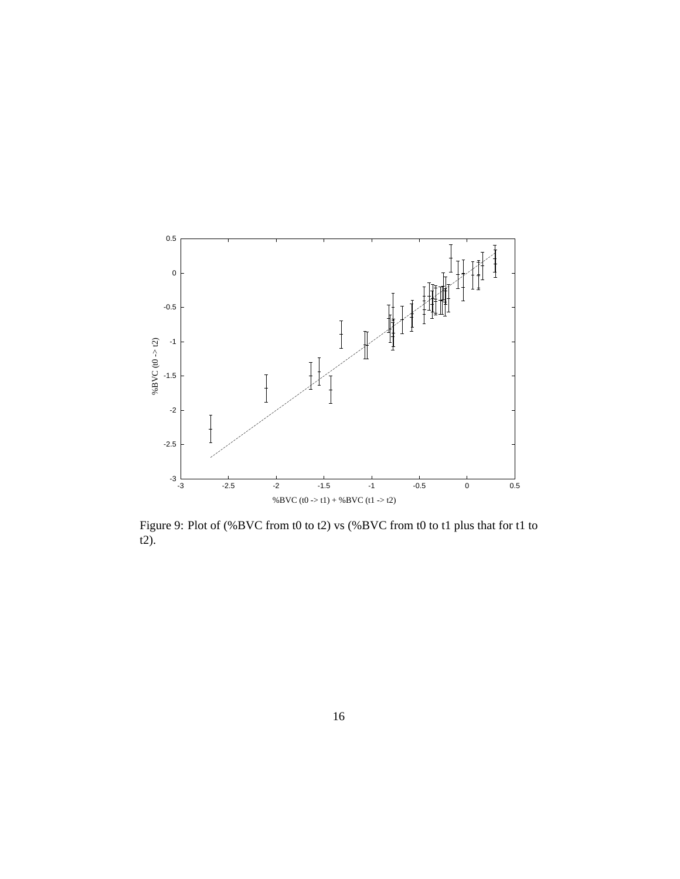

Figure 9: Plot of (%BVC from t0 to t2) vs (%BVC from t0 to t1 plus that for t1 to t2).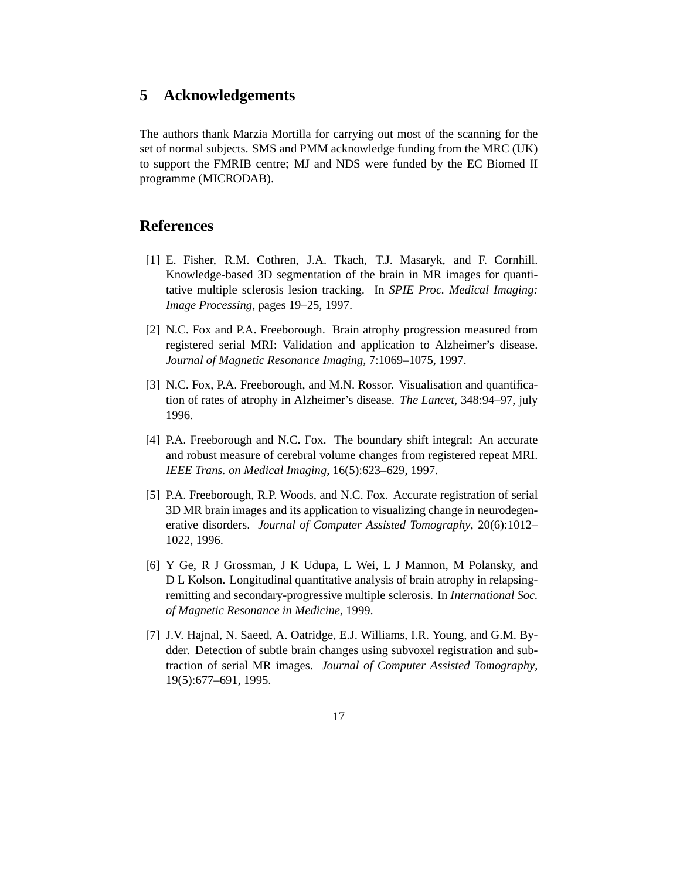## **5 Acknowledgements**

The authors thank Marzia Mortilla for carrying out most of the scanning for the set of normal subjects. SMS and PMM acknowledge funding from the MRC (UK) to support the FMRIB centre; MJ and NDS were funded by the EC Biomed II programme (MICRODAB).

## **References**

- [1] E. Fisher, R.M. Cothren, J.A. Tkach, T.J. Masaryk, and F. Cornhill. Knowledge-based 3D segmentation of the brain in MR images for quantitative multiple sclerosis lesion tracking. In *SPIE Proc. Medical Imaging: Image Processing*, pages 19–25, 1997.
- [2] N.C. Fox and P.A. Freeborough. Brain atrophy progression measured from registered serial MRI: Validation and application to Alzheimer's disease. *Journal of Magnetic Resonance Imaging*, 7:1069–1075, 1997.
- [3] N.C. Fox, P.A. Freeborough, and M.N. Rossor. Visualisation and quantification of rates of atrophy in Alzheimer's disease. *The Lancet*, 348:94–97, july 1996.
- [4] P.A. Freeborough and N.C. Fox. The boundary shift integral: An accurate and robust measure of cerebral volume changes from registered repeat MRI. *IEEE Trans. on Medical Imaging*, 16(5):623–629, 1997.
- [5] P.A. Freeborough, R.P. Woods, and N.C. Fox. Accurate registration of serial 3D MR brain images and its application to visualizing change in neurodegenerative disorders. *Journal of Computer Assisted Tomography*, 20(6):1012– 1022, 1996.
- [6] Y Ge, R J Grossman, J K Udupa, L Wei, L J Mannon, M Polansky, and D L Kolson. Longitudinal quantitative analysis of brain atrophy in relapsingremitting and secondary-progressive multiple sclerosis. In *International Soc. of Magnetic Resonance in Medicine*, 1999.
- [7] J.V. Hajnal, N. Saeed, A. Oatridge, E.J. Williams, I.R. Young, and G.M. Bydder. Detection of subtle brain changes using subvoxel registration and subtraction of serial MR images. *Journal of Computer Assisted Tomography*, 19(5):677–691, 1995.